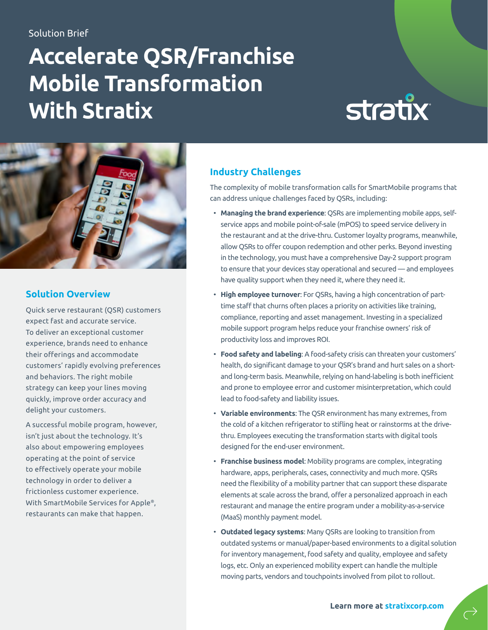#### Solution Brief

## **Accelerate QSR/Franchise Mobile Transformation With Stratix**

# **stratix**



### **Solution Overview**

Quick serve restaurant (QSR) customers expect fast and accurate service. To deliver an exceptional customer experience, brands need to enhance their offerings and accommodate customers' rapidly evolving preferences and behaviors. The right mobile strategy can keep your lines moving quickly, improve order accuracy and delight your customers.

A successful mobile program, however, isn't just about the technology. It's also about empowering employees operating at the point of service to effectively operate your mobile technology in order to deliver a frictionless customer experience. With SmartMobile Services for Apple®, restaurants can make that happen.

### **Industry Challenges**

The complexity of mobile transformation calls for SmartMobile programs that can address unique challenges faced by QSRs, including:

- **Managing the brand experience**: QSRs are implementing mobile apps, selfservice apps and mobile point-of-sale (mPOS) to speed service delivery in the restaurant and at the drive-thru. Customer loyalty programs, meanwhile, allow QSRs to offer coupon redemption and other perks. Beyond investing in the technology, you must have a comprehensive Day-2 support program to ensure that your devices stay operational and secured — and employees have quality support when they need it, where they need it.
- **High employee turnover**: For QSRs, having a high concentration of parttime staff that churns often places a priority on activities like training, compliance, reporting and asset management. Investing in a specialized mobile support program helps reduce your franchise owners' risk of productivity loss and improves ROI.
- **Food safety and labeling**: A food-safety crisis can threaten your customers' health, do significant damage to your QSR's brand and hurt sales on a shortand long-term basis. Meanwhile, relying on hand-labeling is both inefficient and prone to employee error and customer misinterpretation, which could lead to food-safety and liability issues.
- **Variable environments**: The QSR environment has many extremes, from the cold of a kitchen refrigerator to stifling heat or rainstorms at the drivethru. Employees executing the transformation starts with digital tools designed for the end-user environment.
- **Franchise business model**: Mobility programs are complex, integrating hardware, apps, peripherals, cases, connectivity and much more. QSRs need the flexibility of a mobility partner that can support these disparate elements at scale across the brand, offer a personalized approach in each restaurant and manage the entire program under a mobility-as-a-service (MaaS) monthly payment model.
- **Outdated legacy systems**: Many QSRs are looking to transition from outdated systems or manual/paper-based environments to a digital solution for inventory management, food safety and quality, employee and safety logs, etc. Only an experienced mobility expert can handle the multiple moving parts, vendors and touchpoints involved from pilot to rollout.